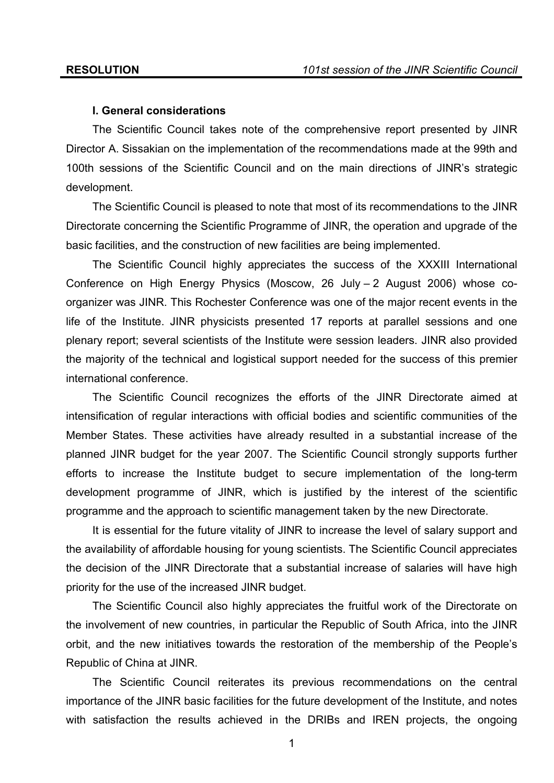#### **I. General considerations**

 The Scientific Council takes note of the comprehensive report presented by JINR Director A. Sissakian on the implementation of the recommendations made at the 99th and 100th sessions of the Scientific Council and on the main directions of JINR's strategic development.

 The Scientific Council is pleased to note that most of its recommendations to the JINR Directorate concerning the Scientific Programme of JINR, the operation and upgrade of the basic facilities, and the construction of new facilities are being implemented.

The Scientific Council highly appreciates the success of the XXXIII International Conference on High Energy Physics (Moscow, 26 July – 2 August 2006) whose coorganizer was JINR. This Rochester Conference was one of the major recent events in the life of the Institute. JINR physicists presented 17 reports at parallel sessions and one plenary report; several scientists of the Institute were session leaders. JINR also provided the majority of the technical and logistical support needed for the success of this premier international conference.

The Scientific Council recognizes the efforts of the JINR Directorate aimed at intensification of regular interactions with official bodies and scientific communities of the Member States. These activities have already resulted in a substantial increase of the planned JINR budget for the year 2007. The Scientific Council strongly supports further efforts to increase the Institute budget to secure implementation of the long-term development programme of JINR, which is justified by the interest of the scientific programme and the approach to scientific management taken by the new Directorate.

It is essential for the future vitality of JINR to increase the level of salary support and the availability of affordable housing for young scientists. The Scientific Council appreciates the decision of the JINR Directorate that a substantial increase of salaries will have high priority for the use of the increased JINR budget.

The Scientific Council also highly appreciates the fruitful work of the Directorate on the involvement of new countries, in particular the Republic of South Africa, into the JINR orbit, and the new initiatives towards the restoration of the membership of the People's Republic of China at JINR.

The Scientific Council reiterates its previous recommendations on the central importance of the JINR basic facilities for the future development of the Institute, and notes with satisfaction the results achieved in the DRIBs and IREN projects, the ongoing

1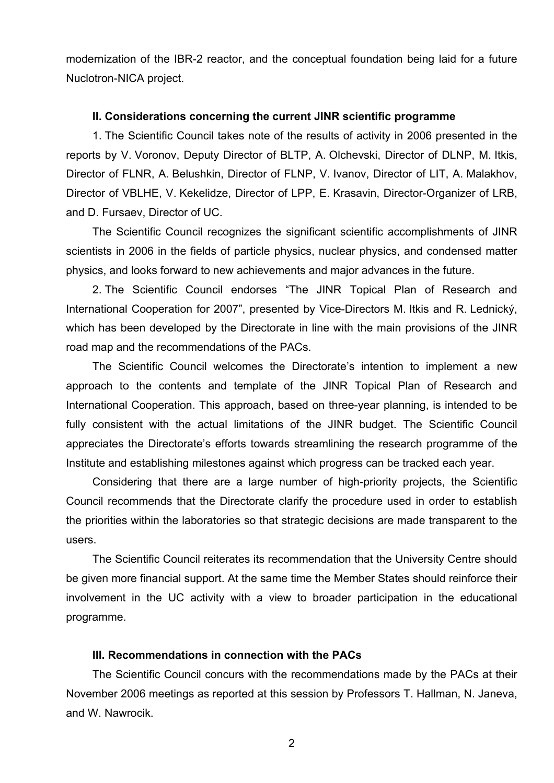modernization of the IBR-2 reactor, and the conceptual foundation being laid for a future Nuclotron-NICA project.

## **II. Considerations concerning the current JINR scientific programme**

 1. The Scientific Council takes note of the results of activity in 2006 presented in the reports by V. Voronov, Deputy Director of BLTP, A. Olchevski, Director of DLNP, M. Itkis, Director of FLNR, A. Belushkin, Director of FLNP, V. Ivanov, Director of LIT, A. Malakhov, Director of VBLHE, V. Kekelidze, Director of LPP, E. Krasavin, Director-Organizer of LRB, and D. Fursaev, Director of UC.

 The Scientific Council recognizes the significant scientific accomplishments of JINR scientists in 2006 in the fields of particle physics, nuclear physics, and condensed matter physics, and looks forward to new achievements and major advances in the future.

2. The Scientific Council endorses "The JINR Topical Plan of Research and International Cooperation for 2007", presented by Vice-Directors M. Itkis and R. Lednický, which has been developed by the Directorate in line with the main provisions of the JINR road map and the recommendations of the PACs.

The Scientific Council welcomes the Directorate's intention to implement a new approach to the contents and template of the JINR Topical Plan of Research and International Cooperation. This approach, based on three-year planning, is intended to be fully consistent with the actual limitations of the JINR budget. The Scientific Council appreciates the Directorate's efforts towards streamlining the research programme of the Institute and establishing milestones against which progress can be tracked each year.

Considering that there are a large number of high-priority projects, the Scientific Council recommends that the Directorate clarify the procedure used in order to establish the priorities within the laboratories so that strategic decisions are made transparent to the users.

The Scientific Council reiterates its recommendation that the University Centre should be given more financial support. At the same time the Member States should reinforce their involvement in the UC activity with a view to broader participation in the educational programme.

## **III. Recommendations in connection with the PACs**

The Scientific Council concurs with the recommendations made by the PACs at their November 2006 meetings as reported at this session by Professors T. Hallman, N. Janeva, and W. Nawrocik.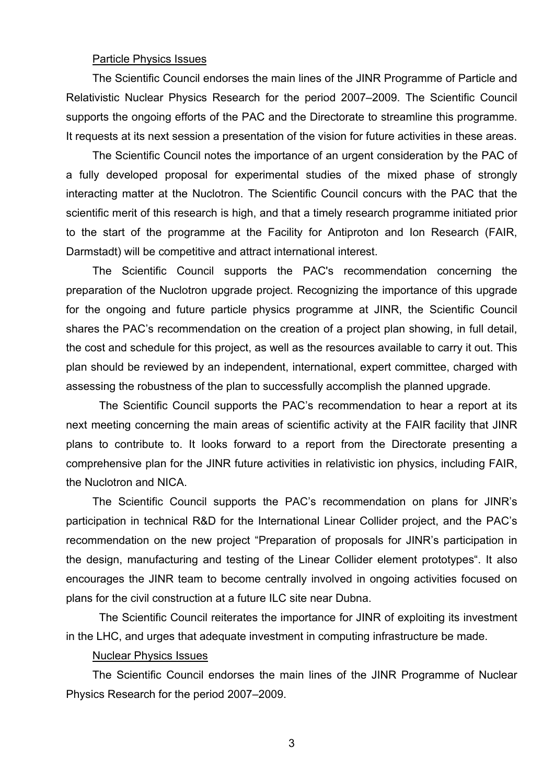## Particle Physics Issues

The Scientific Council endorses the main lines of the JINR Programme of Particle and Relativistic Nuclear Physics Research for the period 2007–2009. The Scientific Council supports the ongoing efforts of the PAC and the Directorate to streamline this programme. It requests at its next session a presentation of the vision for future activities in these areas.

The Scientific Council notes the importance of an urgent consideration by the PAC of a fully developed proposal for experimental studies of the mixed phase of strongly interacting matter at the Nuclotron. The Scientific Council concurs with the PAC that the scientific merit of this research is high, and that a timely research programme initiated prior to the start of the programme at the Facility for Antiproton and Ion Research (FAIR, Darmstadt) will be competitive and attract international interest.

The Scientific Council supports the PAC's recommendation concerning the preparation of the Nuclotron upgrade project. Recognizing the importance of this upgrade for the ongoing and future particle physics programme at JINR, the Scientific Council shares the PAC's recommendation on the creation of a project plan showing, in full detail, the cost and schedule for this project, as well as the resources available to carry it out. This plan should be reviewed by an independent, international, expert committee, charged with assessing the robustness of the plan to successfully accomplish the planned upgrade.

The Scientific Council supports the PAC's recommendation to hear a report at its next meeting concerning the main areas of scientific activity at the FAIR facility that JINR plans to contribute to. It looks forward to a report from the Directorate presenting a comprehensive plan for the JINR future activities in relativistic ion physics, including FAIR, the Nuclotron and NICA.

The Scientific Council supports the PAC's recommendation on plans for JINR's participation in technical R&D for the International Linear Collider project, and the PAC's recommendation on the new project "Preparation of proposals for JINR's participation in the design, manufacturing and testing of the Linear Collider element prototypes". It also encourages the JINR team to become centrally involved in ongoing activities focused on plans for the civil construction at a future ILC site near Dubna.

The Scientific Council reiterates the importance for JINR of exploiting its investment in the LHC, and urges that adequate investment in computing infrastructure be made.

## Nuclear Physics Issues

The Scientific Council endorses the main lines of the JINR Programme of Nuclear Physics Research for the period 2007–2009.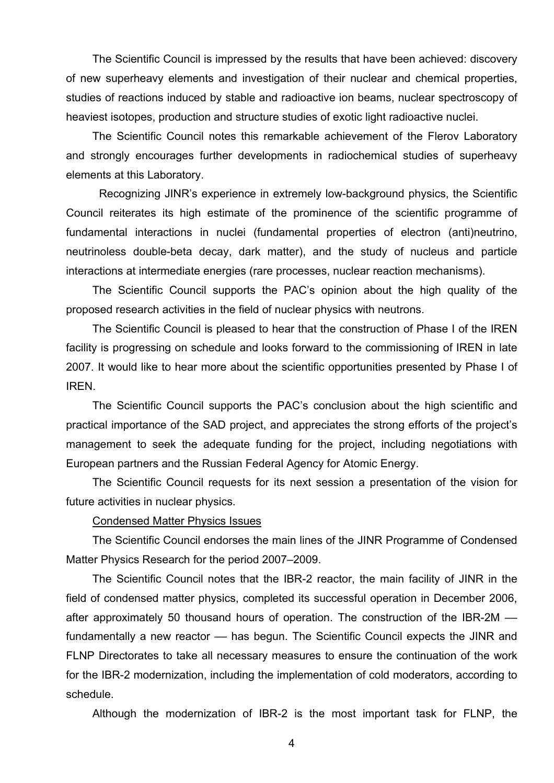The Scientific Council is impressed by the results that have been achieved: discovery of new superheavy elements and investigation of their nuclear and chemical properties, studies of reactions induced by stable and radioactive ion beams, nuclear spectroscopy of heaviest isotopes, production and structure studies of exotic light radioactive nuclei.

The Scientific Council notes this remarkable achievement of the Flerov Laboratory and strongly encourages further developments in radiochemical studies of superheavy elements at this Laboratory.

Recognizing JINR's experience in extremely low-background physics, the Scientific Council reiterates its high estimate of the prominence of the scientific programme of fundamental interactions in nuclei (fundamental properties of electron (anti)neutrino, neutrinoless double-beta decay, dark matter), and the study of nucleus and particle interactions at intermediate energies (rare processes, nuclear reaction mechanisms).

The Scientific Council supports the PAC's opinion about the high quality of the proposed research activities in the field of nuclear physics with neutrons.

The Scientific Council is pleased to hear that the construction of Phase I of the IREN facility is progressing on schedule and looks forward to the commissioning of IREN in late 2007. It would like to hear more about the scientific opportunities presented by Phase I of IREN.

The Scientific Council supports the PAC's conclusion about the high scientific and practical importance of the SAD project, and appreciates the strong efforts of the project's management to seek the adequate funding for the project, including negotiations with European partners and the Russian Federal Agency for Atomic Energy.

The Scientific Council requests for its next session a presentation of the vision for future activities in nuclear physics.

#### Condensed Matter Physics Issues

The Scientific Council endorses the main lines of the JINR Programme of Condensed Matter Physics Research for the period 2007–2009.

The Scientific Council notes that the IBR-2 reactor, the main facility of JINR in the field of condensed matter physics, completed its successful operation in December 2006, after approximately 50 thousand hours of operation. The construction of the IBR-2M –– fundamentally a new reactor — has begun. The Scientific Council expects the JINR and FLNP Directorates to take all necessary measures to ensure the continuation of the work for the IBR-2 modernization, including the implementation of cold moderators, according to schedule.

Although the modernization of IBR-2 is the most important task for FLNP, the

4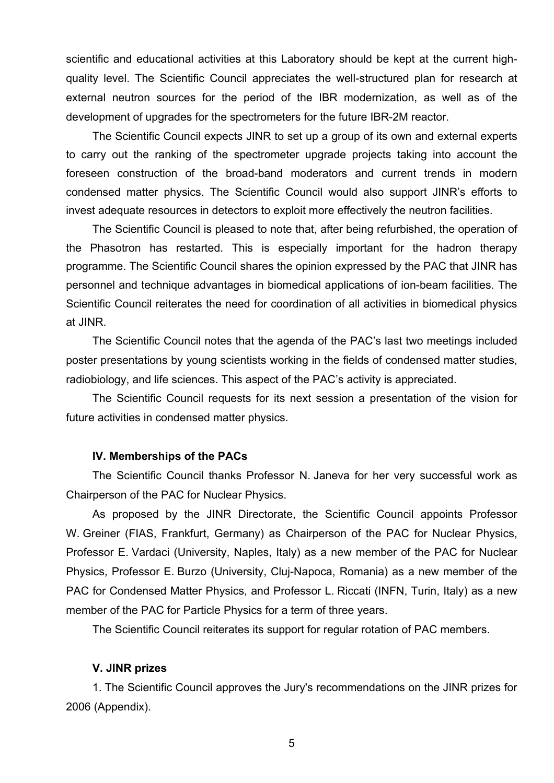scientific and educational activities at this Laboratory should be kept at the current highquality level. The Scientific Council appreciates the well-structured plan for research at external neutron sources for the period of the IBR modernization, as well as of the development of upgrades for the spectrometers for the future IBR-2M reactor.

The Scientific Council expects JINR to set up a group of its own and external experts to carry out the ranking of the spectrometer upgrade projects taking into account the foreseen construction of the broad-band moderators and current trends in modern condensed matter physics. The Scientific Council would also support JINR's efforts to invest adequate resources in detectors to exploit more effectively the neutron facilities.

The Scientific Council is pleased to note that, after being refurbished, the operation of the Phasotron has restarted. This is especially important for the hadron therapy programme. The Scientific Council shares the opinion expressed by the PAC that JINR has personnel and technique advantages in biomedical applications of ion-beam facilities. The Scientific Council reiterates the need for coordination of all activities in biomedical physics at JINR.

 The Scientific Council notes that the agenda of the PAC's last two meetings included poster presentations by young scientists working in the fields of condensed matter studies, radiobiology, and life sciences. This aspect of the PAC's activity is appreciated.

The Scientific Council requests for its next session a presentation of the vision for future activities in condensed matter physics.

## **IV. Memberships of the PACs**

The Scientific Council thanks Professor N. Janeva for her very successful work as Chairperson of the PAC for Nuclear Physics.

As proposed by the JINR Directorate, the Scientific Council appoints Professor W. Greiner (FIAS, Frankfurt, Germany) as Chairperson of the PAC for Nuclear Physics, Professor E. Vardaci (University, Naples, Italy) as a new member of the PAC for Nuclear Physics, Professor E. Burzo (University, Cluj-Napoca, Romania) as a new member of the PAC for Condensed Matter Physics, and Professor L. Riccati (INFN, Turin, Italy) as a new member of the PAC for Particle Physics for a term of three years.

The Scientific Council reiterates its support for regular rotation of PAC members.

## **V. JINR prizes**

1. The Scientific Council approves the Jury's recommendations on the JINR prizes for 2006 (Appendix).

5